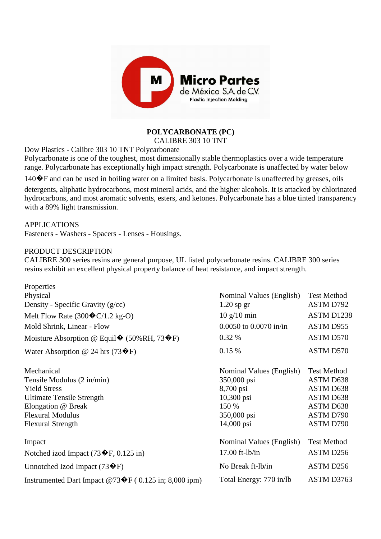

## **POLYCARBONATE (PC)**

CALIBRE 303 10 TNT

Dow Plastics - Calibre 303 10 TNT Polycarbonate

Polycarbonate is one of the toughest, most dimensionally stable thermoplastics over a wide temperature range. Polycarbonate has exceptionally high impact strength. Polycarbonate is unaffected by water below

 $140\hat{\mathbf{\diamond}}$  F and can be used in boiling water on a limited basis. Polycarbonate is unaffected by greases, oils detergents, aliphatic hydrocarbons, most mineral acids, and the higher alcohols. It is attacked by chlorinated hydrocarbons, and most aromatic solvents, esters, and ketones. Polycarbonate has a blue tinted transparency with a 89% light transmission.

APPLICATIONS Fasteners - Washers - Spacers - Lenses - Housings.

## PRODUCT DESCRIPTION

CALIBRE 300 series resins are general purpose, UL listed polycarbonate resins. CALIBRE 300 series resins exhibit an excellent physical property balance of heat resistance, and impact strength.

| Properties                                                                |                                      |                    |
|---------------------------------------------------------------------------|--------------------------------------|--------------------|
| Physical                                                                  | Nominal Values (English)             | <b>Test Method</b> |
| Density - Specific Gravity $(g/cc)$                                       | $1.20$ sp gr                         | ASTM D792          |
| Melt Flow Rate $(300 \cdot C/1.2 \text{ kg-O})$                           | $10 \frac{\text{g}}{10 \text{ min}}$ | ASTM D1238         |
| Mold Shrink, Linear - Flow                                                | $0.0050$ to $0.0070$ in/in           | ASTM D955          |
| Moisture Absorption @ Equil $\blacklozenge$ (50%RH, 73 $\blacklozenge$ F) | 0.32 %                               | ASTM D570          |
| Water Absorption @ 24 hrs $(73 \cdot \mathbf{F})$                         | 0.15%                                | ASTM D570          |
| Mechanical                                                                | Nominal Values (English)             | <b>Test Method</b> |
| Tensile Modulus (2 in/min)                                                | 350,000 psi                          | ASTM D638          |
| <b>Yield Stress</b>                                                       | 8,700 psi                            | ASTM D638          |
| <b>Ultimate Tensile Strength</b>                                          | $10,300$ psi                         | ASTM D638          |
| Elongation @ Break                                                        | 150 %                                | ASTM D638          |
| <b>Flexural Modulus</b>                                                   | 350,000 psi                          | ASTM D790          |
| <b>Flexural Strength</b>                                                  | 14,000 psi                           | ASTM D790          |
| Impact                                                                    | Nominal Values (English)             | <b>Test Method</b> |
| Notched izod Impact (73 $\blacklozenge$ F, 0.125 in)                      | $17.00$ ft-lb/in                     | ASTM D256          |
| Unnotched Izod Impact $(73 \cdot \mathbf{F})$                             | No Break ft-lb/in                    | ASTM D256          |
| Instrumented Dart Impact @73 $\blacklozenge$ F (0.125 in; 8,000 ipm)      | Total Energy: 770 in/lb              | ASTM D3763         |
|                                                                           |                                      |                    |